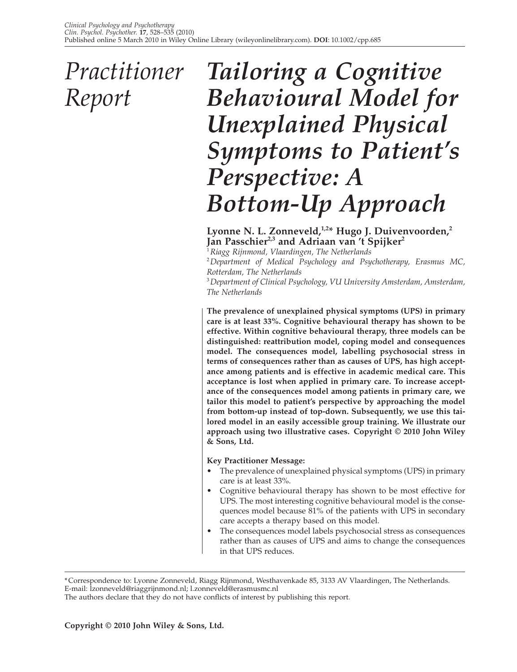## *Practitioner Report*

# *Tailoring a Cognitive Behavioural Model for Unexplained Physical Symptoms to Patient's Perspective: A Bottom-Up Approach*

Lyonne N. L. Zonneveld,<sup>1,2\*</sup> Hugo J. Duivenvoorden,<sup>2</sup> Jan Passchier<sup>2,3</sup> and Adriaan van 't Spijker<sup>2</sup>

1  *Riagg Rijnmond, Vlaardingen, The Netherlands*

2  *Department of Medical Psychology and Psychotherapy, Erasmus MC, Rotterdam, The Netherlands*

3  *Department of Clinical Psychology, VU University Amsterdam, Amsterdam, The Netherlands*

**The prevalence of unexplained physical symptoms (UPS) in primary care is at least 33%. Cognitive behavioural therapy has shown to be effective. Within cognitive behavioural therapy, three models can be distinguished: reattribution model, coping model and consequences model. The consequences model, labelling psychosocial stress in terms of consequences rather than as causes of UPS, has high acceptance among patients and is effective in academic medical care. This acceptance is lost when applied in primary care. To increase acceptance of the consequences model among patients in primary care, we tailor this model to patient's perspective by approaching the model from bottom-up instead of top-down. Subsequently, we use this tailored model in an easily accessible group training. We illustrate our approach using two illustrative cases. Copyright © 2010 John Wiley & Sons, Ltd.**

### **Key Practitioner Message:**

- The prevalence of unexplained physical symptoms (UPS) in primary care is at least 33%.
- Cognitive behavioural therapy has shown to be most effective for UPS. The most interesting cognitive behavioural model is the consequences model because 81% of the patients with UPS in secondary care accepts a therapy based on this model.
- The consequences model labels psychosocial stress as consequences rather than as causes of UPS and aims to change the consequences in that UPS reduces.

<sup>\*</sup> Correspondence to: Lyonne Zonneveld, Riagg Rijnmond, Westhavenkade 85, 3133 AV Vlaardingen, The Netherlands. E-mail: lzonneveld@riaggrijnmond.nl; l.zonneveld@erasmusmc.nl

The authors declare that they do not have conflicts of interest by publishing this report.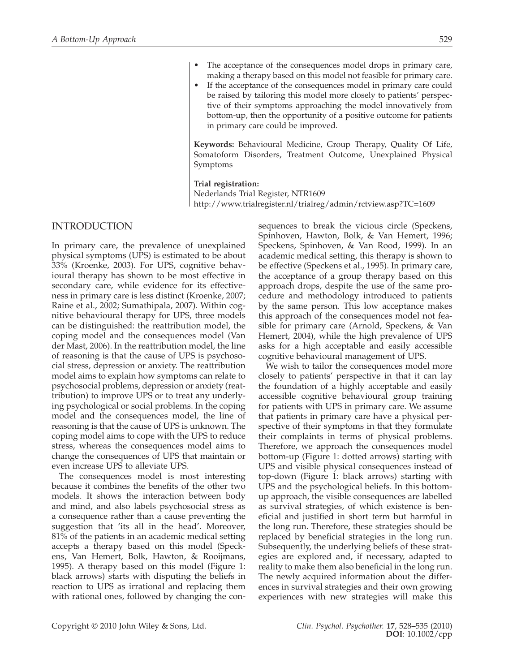- The acceptance of the consequences model drops in primary care, making a therapy based on this model not feasible for primary care.
- If the acceptance of the consequences model in primary care could be raised by tailoring this model more closely to patients' perspective of their symptoms approaching the model innovatively from bottom-up, then the opportunity of a positive outcome for patients in primary care could be improved.

**Keywords:** Behavioural Medicine, Group Therapy, Quality Of Life, Somatoform Disorders, Treatment Outcome, Unexplained Physical Symptoms

#### **Trial registration:**

Nederlands Trial Register, NTR1609 http://www.trialregister.nl/trialreg/admin/rctview.asp?TC=1609

## INTRODUCTION

In primary care, the prevalence of unexplained physical symptoms (UPS) is estimated to be about 33% (Kroenke, 2003). For UPS, cognitive behavioural therapy has shown to be most effective in secondary care, while evidence for its effectiveness in primary care is less distinct (Kroenke, 2007; Raine et al., 2002; Sumathipala, 2007). Within cognitive behavioural therapy for UPS, three models can be distinguished: the reattribution model, the coping model and the consequences model (Van der Mast, 2006). In the reattribution model, the line of reasoning is that the cause of UPS is psychosocial stress, depression or anxiety. The reattribution model aims to explain how symptoms can relate to psychosocial problems, depression or anxiety (reattribution) to improve UPS or to treat any underlying psychological or social problems. In the coping model and the consequences model, the line of reasoning is that the cause of UPS is unknown. The coping model aims to cope with the UPS to reduce stress, whereas the consequences model aims to change the consequences of UPS that maintain or even increase UPS to alleviate UPS.

The consequences model is most interesting because it combines the benefits of the other two models. It shows the interaction between body and mind, and also labels psychosocial stress as a consequence rather than a cause preventing the suggestion that 'its all in the head'. Moreover, 81% of the patients in an academic medical setting accepts a therapy based on this model (Speckens, Van Hemert, Bolk, Hawton, & Rooijmans, 1995). A therapy based on this model (Figure 1: black arrows) starts with disputing the beliefs in reaction to UPS as irrational and replacing them with rational ones, followed by changing the consequences to break the vicious circle (Speckens, Spinhoven, Hawton, Bolk, & Van Hemert, 1996; Speckens, Spinhoven, & Van Rood, 1999). In an academic medical setting, this therapy is shown to be effective (Speckens et al., 1995). In primary care, the acceptance of a group therapy based on this approach drops, despite the use of the same procedure and methodology introduced to patients by the same person. This low acceptance makes this approach of the consequences model not feasible for primary care (Arnold, Speckens, & Van Hemert, 2004), while the high prevalence of UPS asks for a high acceptable and easily accessible cognitive behavioural management of UPS.

We wish to tailor the consequences model more closely to patients' perspective in that it can lay the foundation of a highly acceptable and easily accessible cognitive behavioural group training for patients with UPS in primary care. We assume that patients in primary care have a physical perspective of their symptoms in that they formulate their complaints in terms of physical problems. Therefore, we approach the consequences model bottom-up (Figure 1: dotted arrows) starting with UPS and visible physical consequences instead of top-down (Figure 1: black arrows) starting with UPS and the psychological beliefs. In this bottomup approach, the visible consequences are labelled as survival strategies, of which existence is beneficial and justified in short term but harmful in the long run. Therefore, these strategies should be replaced by beneficial strategies in the long run. Subsequently, the underlying beliefs of these strategies are explored and, if necessary, adapted to reality to make them also beneficial in the long run. The newly acquired information about the differences in survival strategies and their own growing experiences with new strategies will make this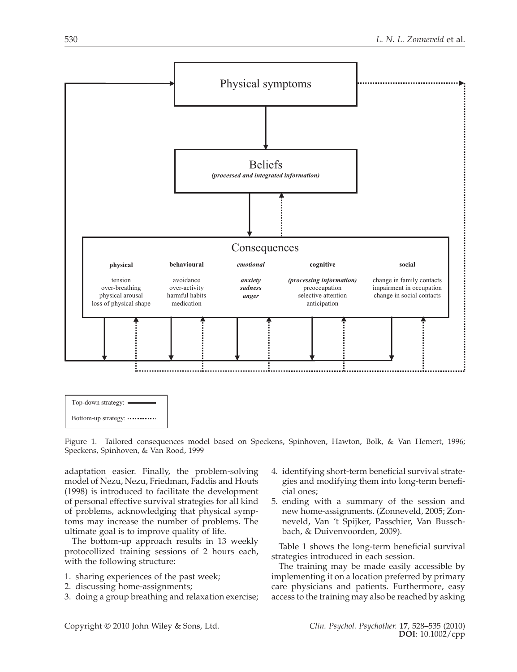



Figure 1. Tailored consequences model based on Speckens, Spinhoven, Hawton, Bolk, & Van Hemert, 1996; Speckens, Spinhoven, & Van Rood, 1999

adaptation easier. Finally, the problem-solving model of Nezu, Nezu, Friedman, Faddis and Houts (1998) is introduced to facilitate the development of personal effective survival strategies for all kind of problems, acknowledging that physical symptoms may increase the number of problems. The ultimate goal is to improve quality of life.

The bottom-up approach results in 13 weekly protocollized training sessions of 2 hours each, with the following structure:

- 1. sharing experiences of the past week;
- 2. discussing home-assignments;
- 3. doing a group breathing and relaxation exercise;
- 4. identifying short-term beneficial survival strategies and modifying them into long-term beneficial ones;
- 5. ending with a summary of the session and new home-assignments. (Zonneveld, 2005; Zonneveld, Van 't Spijker, Passchier, Van Busschbach, & Duivenvoorden, 2009).

Table 1 shows the long-term beneficial survival strategies introduced in each session.

The training may be made easily accessible by implementing it on a location preferred by primary care physicians and patients. Furthermore, easy access to the training may also be reached by asking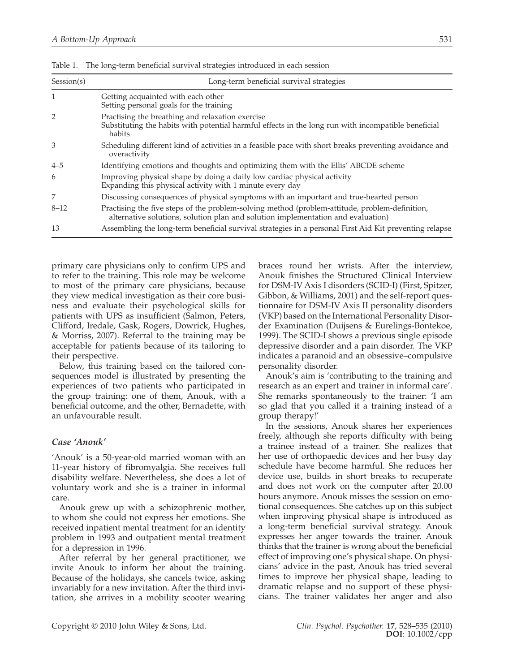| Session(s) | Long-term beneficial survival strategies                                                                                                                                           |
|------------|------------------------------------------------------------------------------------------------------------------------------------------------------------------------------------|
| 1          | Getting acquainted with each other<br>Setting personal goals for the training                                                                                                      |
|            | Practising the breathing and relaxation exercise<br>Substituting the habits with potential harmful effects in the long run with incompatible beneficial<br>habits                  |
| 3          | Scheduling different kind of activities in a feasible pace with short breaks preventing avoidance and<br>overactivity                                                              |
| $4 - 5$    | Identifying emotions and thoughts and optimizing them with the Ellis' ABCDE scheme                                                                                                 |
| 6          | Improving physical shape by doing a daily low cardiac physical activity<br>Expanding this physical activity with 1 minute every day                                                |
|            | Discussing consequences of physical symptoms with an important and true-hearted person                                                                                             |
| $8 - 12$   | Practising the five steps of the problem-solving method (problem-attitude, problem-definition,<br>alternative solutions, solution plan and solution implementation and evaluation) |
| 13         | Assembling the long-term beneficial survival strategies in a personal First Aid Kit preventing relapse                                                                             |

Table 1. The long-term beneficial survival strategies introduced in each session

primary care physicians only to confirm UPS and to refer to the training. This role may be welcome to most of the primary care physicians, because they view medical investigation as their core business and evaluate their psychological skills for patients with UPS as insufficient (Salmon, Peters, Clifford, Iredale, Gask, Rogers, Dowrick, Hughes, & Morriss, 2007). Referral to the training may be acceptable for patients because of its tailoring to their perspective.

Below, this training based on the tailored consequences model is illustrated by presenting the experiences of two patients who participated in the group training: one of them, Anouk, with a beneficial outcome, and the other, Bernadette, with an unfavourable result.

#### *Case 'Anouk'*

'Anouk' is a 50-year-old married woman with an 11-year history of fibromyalgia. She receives full disability welfare. Nevertheless, she does a lot of voluntary work and she is a trainer in informal care.

Anouk grew up with a schizophrenic mother, to whom she could not express her emotions. She received inpatient mental treatment for an identity problem in 1993 and outpatient mental treatment for a depression in 1996.

After referral by her general practitioner, we invite Anouk to inform her about the training. Because of the holidays, she cancels twice, asking invariably for a new invitation. After the third invitation, she arrives in a mobility scooter wearing braces round her wrists. After the interview, Anouk finishes the Structured Clinical Interview for DSM-IV Axis I disorders (SCID-I) (First, Spitzer, Gibbon, & Williams, 2001) and the self-report questionnaire for DSM-IV Axis II personality disorders (VKP) based on the International Personality Disorder Examination (Duijsens & Eurelings-Bontekoe, 1999). The SCID-I shows a previous single episode depressive disorder and a pain disorder. The VKP indicates a paranoid and an obsessive–compulsive personality disorder.

Anouk's aim is 'contributing to the training and research as an expert and trainer in informal care'. She remarks spontaneously to the trainer: 'I am so glad that you called it a training instead of a group therapy!'

In the sessions, Anouk shares her experiences freely, although she reports difficulty with being a trainee instead of a trainer. She realizes that her use of orthopaedic devices and her busy day schedule have become harmful. She reduces her device use, builds in short breaks to recuperate and does not work on the computer after 20.00 hours anymore. Anouk misses the session on emotional consequences. She catches up on this subject when improving physical shape is introduced as a long-term beneficial survival strategy. Anouk expresses her anger towards the trainer. Anouk thinks that the trainer is wrong about the beneficial effect of improving one's physical shape. On physicians' advice in the past, Anouk has tried several times to improve her physical shape, leading to dramatic relapse and no support of these physicians. The trainer validates her anger and also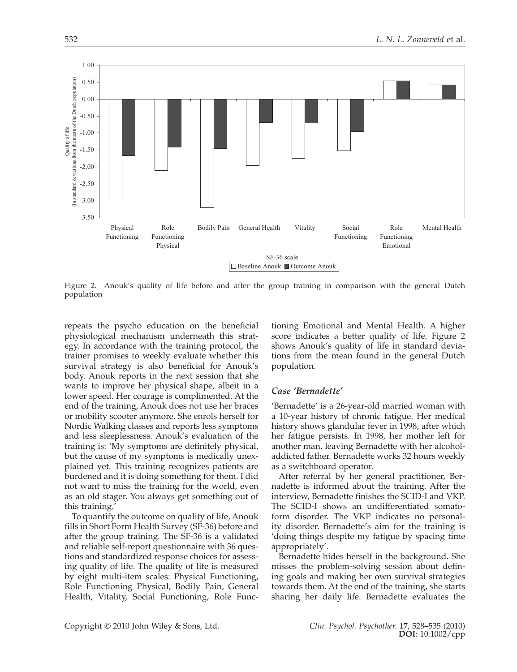

Figure 2. Anouk's quality of life before and after the group training in comparison with the general Dutch population

repeats the psycho education on the beneficial physiological mechanism underneath this strategy. In accordance with the training protocol, the trainer promises to weekly evaluate whether this survival strategy is also beneficial for Anouk's body. Anouk reports in the next session that she wants to improve her physical shape, albeit in a lower speed. Her courage is complimented. At the end of the training, Anouk does not use her braces or mobility scooter anymore. She enrols herself for Nordic Walking classes and reports less symptoms and less sleeplessness. Anouk's evaluation of the training is: 'My symptoms are definitely physical, but the cause of my symptoms is medically unexplained yet. This training recognizes patients are burdened and it is doing something for them. I did not want to miss the training for the world, even as an old stager. You always get something out of this training.

To quantify the outcome on quality of life, Anouk fills in Short Form Health Survey (SF-36) before and after the group training. The SF-36 is a validated and reliable self-report questionnaire with 36 questions and standardized response choices for assessing quality of life. The quality of life is measured by eight multi-item scales: Physical Functioning, Role Functioning Physical, Bodily Pain, General Health, Vitality, Social Functioning, Role Functioning Emotional and Mental Health. A higher score indicates a better quality of life. Figure 2 shows Anouk's quality of life in standard deviations from the mean found in the general Dutch population.

#### *Case 'Bernadette'*

'Bernadette' is a 26-year-old married woman with a 10-year history of chronic fatigue. Her medical history shows glandular fever in 1998, after which her fatigue persists. In 1998, her mother left for another man, leaving Bernadette with her alcoholaddicted father. Bernadette works 32 hours weekly as a switchboard operator.

After referral by her general practitioner, Bernadette is informed about the training. After the interview, Bernadette finishes the SCID-I and VKP. The SCID-I shows an undifferentiated somatoform disorder. The VKP indicates no personality disorder. Bernadette's aim for the training is 'doing things despite my fatigue by spacing time appropriately'.

Bernadette hides herself in the background. She misses the problem-solving session about defining goals and making her own survival strategies towards them. At the end of the training, she starts sharing her daily life. Bernadette evaluates the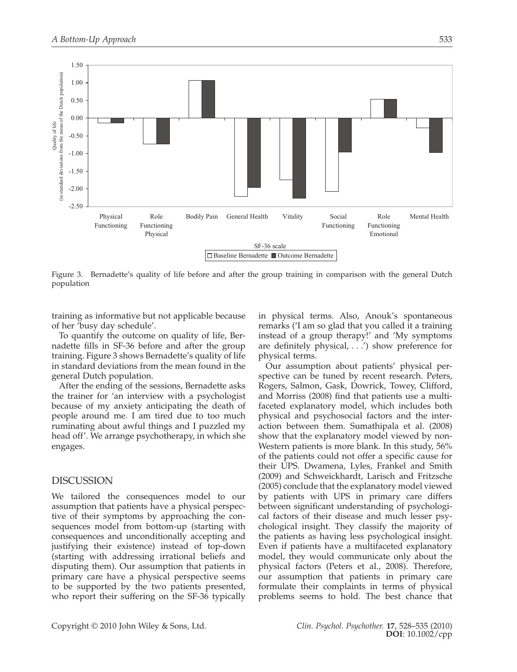

Figure 3. Bernadette's quality of life before and after the group training in comparison with the general Dutch population

training as informative but not applicable because of her 'busy day schedule'.

To quantify the outcome on quality of life, Bernadette fills in SF-36 before and after the group training. Figure 3 shows Bernadette's quality of life in standard deviations from the mean found in the general Dutch population.

After the ending of the sessions, Bernadette asks the trainer for 'an interview with a psychologist because of my anxiety anticipating the death of people around me. I am tired due to too much ruminating about awful things and I puzzled my head off'. We arrange psychotherapy, in which she engages.

### DISCUSSION

We tailored the consequences model to our assumption that patients have a physical perspective of their symptoms by approaching the consequences model from bottom-up (starting with consequences and unconditionally accepting and justifying their existence) instead of top-down (starting with addressing irrational beliefs and disputing them). Our assumption that patients in primary care have a physical perspective seems to be supported by the two patients presented, who report their suffering on the SF-36 typically in physical terms. Also, Anouk's spontaneous remarks ('I am so glad that you called it a training instead of a group therapy!' and 'My symptoms are definitely physical,  $\ldots$ ) show preference for physical terms.

Our assumption about patients' physical perspective can be tuned by recent research. Peters, Rogers, Salmon, Gask, Dowrick, Towey, Clifford, and Morriss (2008) find that patients use a multifaceted explanatory model, which includes both physical and psychosocial factors and the interaction between them. Sumathipala et al. (2008) show that the explanatory model viewed by non-Western patients is more blank. In this study, 56% of the patients could not offer a specific cause for their UPS. Dwamena, Lyles, Frankel and Smith (2009) and Schweickhardt, Larisch and Fritzsche (2005) conclude that the explanatory model viewed by patients with UPS in primary care differs between significant understanding of psychological factors of their disease and much lesser psychological insight. They classify the majority of the patients as having less psychological insight. Even if patients have a multifaceted explanatory model, they would communicate only about the physical factors (Peters et al., 2008). Therefore, our assumption that patients in primary care formulate their complaints in terms of physical problems seems to hold. The best chance that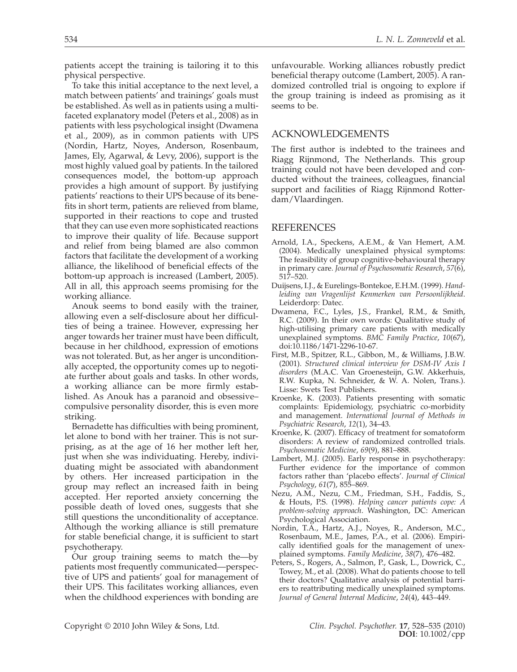patients accept the training is tailoring it to this physical perspective.

To take this initial acceptance to the next level, a match between patients' and trainings' goals must be established. As well as in patients using a multifaceted explanatory model (Peters et al., 2008) as in patients with less psychological insight (Dwamena et al., 2009), as in common patients with UPS (Nordin, Hartz, Noyes, Anderson, Rosenbaum, James, Ely, Agarwal, & Levy, 2006), support is the most highly valued goal by patients. In the tailored consequences model, the bottom-up approach provides a high amount of support. By justifying patients' reactions to their UPS because of its benefits in short term, patients are relieved from blame, supported in their reactions to cope and trusted that they can use even more sophisticated reactions to improve their quality of life. Because support and relief from being blamed are also common factors that facilitate the development of a working alliance, the likelihood of beneficial effects of the bottom-up approach is increased (Lambert, 2005). All in all, this approach seems promising for the working alliance.

Anouk seems to bond easily with the trainer, allowing even a self-disclosure about her difficulties of being a trainee. However, expressing her anger towards her trainer must have been difficult, because in her childhood, expression of emotions was not tolerated. But, as her anger is unconditionally accepted, the opportunity comes up to negotiate further about goals and tasks. In other words, a working alliance can be more firmly established. As Anouk has a paranoid and obsessive– compulsive personality disorder, this is even more striking.

Bernadette has difficulties with being prominent, let alone to bond with her trainer. This is not surprising, as at the age of 16 her mother left her, just when she was individuating. Hereby, individuating might be associated with abandonment by others. Her increased participation in the group may reflect an increased faith in being accepted. Her reported anxiety concerning the possible death of loved ones, suggests that she still questions the unconditionality of acceptance. Although the working alliance is still premature for stable beneficial change, it is sufficient to start psychotherapy.

Our group training seems to match the—by patients most frequently communicated—perspective of UPS and patients' goal for management of their UPS. This facilitates working alliances, even when the childhood experiences with bonding are

unfavourable. Working alliances robustly predict beneficial therapy outcome (Lambert, 2005). A randomized controlled trial is ongoing to explore if the group training is indeed as promising as it seems to be.

#### ACKNOWLEDGEMENTS

The first author is indebted to the trainees and Riagg Rijnmond, The Netherlands. This group training could not have been developed and conducted without the trainees, colleagues, financial support and facilities of Riagg Rijnmond Rotterdam/Vlaardingen.

#### REFERENCES

- Arnold, I.A., Speckens, A.E.M., & Van Hemert, A.M. (2004). Medically unexplained physical symptoms: The feasibility of group cognitive-behavioural therapy in primary care. *Journal of Psychosomatic Research*, *57*(6), 517–520.
- Duijsens, I.J., & Eurelings-Bontekoe, E.H.M. (1999). *Handleiding van Vragenlijst Kenmerken van Persoonlijkheid*. Leiderdorp: Datec.
- Dwamena, F.C., Lyles, J.S., Frankel, R.M., & Smith, R.C. (2009). In their own words: Qualitative study of high-utilising primary care patients with medically unexplained symptoms. *BMC Family Practice*, *10*(67), doi:10.1186/1471-2296-10-67.
- First, M.B., Spitzer, R.L., Gibbon, M., & Williams, J.B.W. (2001). *Structured clinical interview for DSM-IV Axis I disorders* (M.A.C. Van Groenesteijn, G.W. Akkerhuis, R.W. Kupka, N. Schneider, & W. A. Nolen, Trans.). Lisse: Swets Test Publishers.
- Kroenke, K. (2003). Patients presenting with somatic complaints: Epidemiology, psychiatric co-morbidity and management. *International Journal of Methods in Psychiatric Research*, *12*(1), 34–43.
- Kroenke, K. (2007). Efficacy of treatment for somatoform disorders: A review of randomized controlled trials. *Psychosomatic Medicine*, *69*(9), 881–888.
- Lambert, M.J. (2005). Early response in psychotherapy: Further evidence for the importance of common factors rather than 'placebo effects'. *Journal of Clinical Psychology*, *61*(7), 855–869.
- Nezu, A.M., Nezu, C.M., Friedman, S.H., Faddis, S., & Houts, P.S. (1998). *Helping cancer patients cope: A problem-solving approach*. Washington, DC: American Psychological Association.
- Nordin, T.A., Hartz, A.J., Noyes, R., Anderson, M.C., Rosenbaum, M.E., James, P.A., et al. (2006). Empirically identified goals for the management of unexplained symptoms. *Family Medicine*, *38*(7), 476–482.
- Peters, S., Rogers, A., Salmon, P., Gask, L., Dowrick, C., Towey, M., et al. (2008). What do patients choose to tell their doctors? Qualitative analysis of potential barriers to reattributing medically unexplained symptoms. *Journal of General Internal Medicine*, *24*(4), 443–449.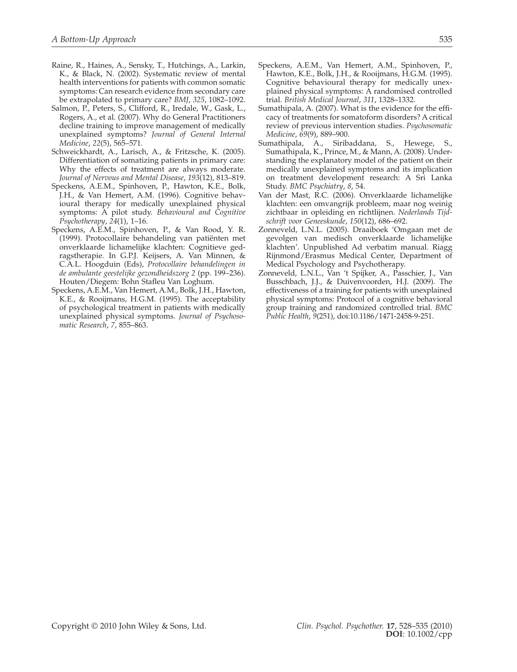- Raine, R., Haines, A., Sensky, T., Hutchings, A., Larkin, K., & Black, N. (2002). Systematic review of mental health interventions for patients with common somatic symptoms: Can research evidence from secondary care be extrapolated to primary care? *BMJ*, *325*, 1082–1092.
- Salmon, P., Peters, S., Clifford, R., Iredale, W., Gask, L., Rogers, A., et al. (2007). Why do General Practitioners decline training to improve management of medically unexplained symptoms? *Journal of General Internal Medicine*, *22*(5), 565–571.
- Schweickhardt, A., Larisch, A., & Fritzsche, K. (2005). Differentiation of somatizing patients in primary care: Why the effects of treatment are always moderate. *Journal of Nervous and Mental Disease*, *193*(12), 813–819.
- Speckens, A.E.M., Spinhoven, P., Hawton, K.E., Bolk, J.H., & Van Hemert, A.M. (1996). Cognitive behavioural therapy for medically unexplained physical symptoms: A pilot study. *Behavioural and Cognitive Psychotherapy*, *24*(1), 1–16.
- Speckens, A.E.M., Spinhoven, P., & Van Rood, Y. R. (1999). Protocollaire behandeling van patiënten met onverklaarde lichamelijke klachten: Cognitieve gedragstherapie. In G.P.J. Keijsers, A. Van Minnen, & C.A.L. Hoogduin (Eds), *Protocollaire behandelingen in de ambulante geestelijke gezondheidszorg 2* (pp. 199–236). Houten/Diegem: Bohn Stafleu Van Loghum.
- Speckens, A.E.M., Van Hemert, A.M., Bolk, J.H., Hawton, K.E., & Rooijmans, H.G.M. (1995). The acceptability of psychological treatment in patients with medically unexplained physical symptoms. *Journal of Psychosomatic Research*, *7*, 855–863.
- Speckens, A.E.M., Van Hemert, A.M., Spinhoven, P., Hawton, K.E., Bolk, J.H., & Rooijmans, H.G.M. (1995). Cognitive behavioural therapy for medically unexplained physical symptoms: A randomised controlled trial. *British Medical Journal*, *311*, 1328–1332.
- Sumathipala, A. (2007). What is the evidence for the efficacy of treatments for somatoform disorders? A critical review of previous intervention studies. *Psychosomatic Medicine*, *69*(9), 889–900.
- Sumathipala, A., Siribaddana, S., Hewege, S., Sumathipala, K., Prince, M., & Mann, A. (2008). Understanding the explanatory model of the patient on their medically unexplained symptoms and its implication on treatment development research: A Sri Lanka Study. *BMC Psychiatry*, *8*, 54.
- Van der Mast, R.C. (2006). Onverklaarde lichamelijke klachten: een omvangrijk probleem, maar nog weinig zichtbaar in opleiding en richtlijnen. *Nederlands Tijdschrift voor Geneeskunde*, *150*(12), 686–692.
- Zonneveld, L.N.L. (2005). Draaiboek 'Omgaan met de gevolgen van medisch onverklaarde lichamelijke klachten'. Unpublished Ad verbatim manual. Riagg Rijnmond/Erasmus Medical Center, Department of Medical Psychology and Psychotherapy.
- Zonneveld, L.N.L., Van 't Spijker, A., Passchier, J., Van Busschbach, J.J., & Duivenvoorden, H.J. (2009). The effectiveness of a training for patients with unexplained physical symptoms: Protocol of a cognitive behavioral group training and randomized controlled trial. *BMC Public Health*, *9*(251), doi:10.1186/1471-2458-9-251.